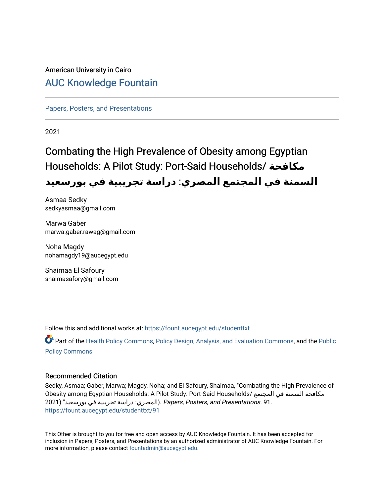### American University in Cairo [AUC Knowledge Fountain](https://fount.aucegypt.edu/)

[Papers, Posters, and Presentations](https://fount.aucegypt.edu/studenttxt)

2021

### Combating the High Prevalence of Obesity among Egyptian Households: A Pilot Study: Port-Said Households/ **مكافحة السمنة في المجتمع المصري**: **دراسة تجريبية في بورسعيد**

Asmaa Sedky sedkyasmaa@gmail.com

Marwa Gaber marwa.gaber.rawag@gmail.com

Noha Magdy nohamagdy19@aucegypt.edu

Shaimaa El Safoury shaimasafory@gmail.com

Follow this and additional works at: [https://fount.aucegypt.edu/studenttxt](https://fount.aucegypt.edu/studenttxt?utm_source=fount.aucegypt.edu%2Fstudenttxt%2F91&utm_medium=PDF&utm_campaign=PDFCoverPages)

Part of the [Health Policy Commons](http://network.bepress.com/hgg/discipline/395?utm_source=fount.aucegypt.edu%2Fstudenttxt%2F91&utm_medium=PDF&utm_campaign=PDFCoverPages), [Policy Design, Analysis, and Evaluation Commons](http://network.bepress.com/hgg/discipline/1032?utm_source=fount.aucegypt.edu%2Fstudenttxt%2F91&utm_medium=PDF&utm_campaign=PDFCoverPages), and the [Public](http://network.bepress.com/hgg/discipline/400?utm_source=fount.aucegypt.edu%2Fstudenttxt%2F91&utm_medium=PDF&utm_campaign=PDFCoverPages)  [Policy Commons](http://network.bepress.com/hgg/discipline/400?utm_source=fount.aucegypt.edu%2Fstudenttxt%2F91&utm_medium=PDF&utm_campaign=PDFCoverPages)

#### Recommended Citation

Sedky, Asmaa; Gaber, Marwa; Magdy, Noha; and El Safoury, Shaimaa, "Combating the High Prevalence of Obesity among Egyptian Households: A Pilot Study: Port-Said Households/ المجتمع في السمنة مكافحة 91. .Presentations and ,Posters ,Papers .)المصري: دراسة تجريبية في بورسعيد" (2021 [https://fount.aucegypt.edu/studenttxt/91](https://fount.aucegypt.edu/studenttxt/91?utm_source=fount.aucegypt.edu%2Fstudenttxt%2F91&utm_medium=PDF&utm_campaign=PDFCoverPages) 

This Other is brought to you for free and open access by AUC Knowledge Fountain. It has been accepted for inclusion in Papers, Posters, and Presentations by an authorized administrator of AUC Knowledge Fountain. For more information, please contact [fountadmin@aucegypt.edu.](mailto:fountadmin@aucegypt.edu)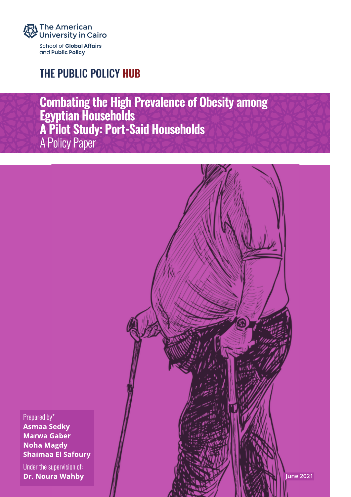

### THE PUBLIC POLICY HUB

**Combating the High Prevalence of Obesity among<br>Egyptian Households<br>A Pilot Study: Port-Said Households<br>A Policy Paper** 



Prepared by\*

**Asmaa Sedky Marwa Gaber Noha Magdy Shaimaa El Safoury** 

Under the supervision of: **Dr. Noura Wahby**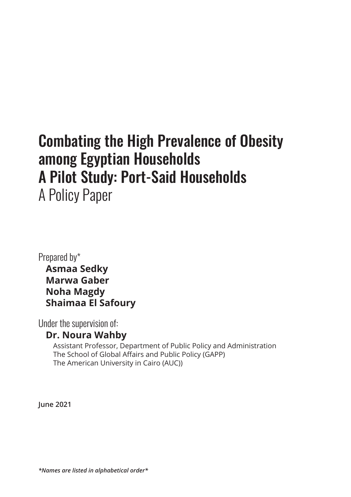# Combating the High Prevalence of Obesity among Egyptian Households A Pilot Study: Port-Said Households

A Policy Paper

Prepared by\*  **Asmaa Sedky Marwa Gaber Noha Magdy Shaimaa El Safoury**

Under the supervision of:

### **Dr. Noura Wahby**

 Assistant Professor, Department of Public Policy and Administration The School of Global Affairs and Public Policy (GAPP) The American University in Cairo (AUC))

**June 2021**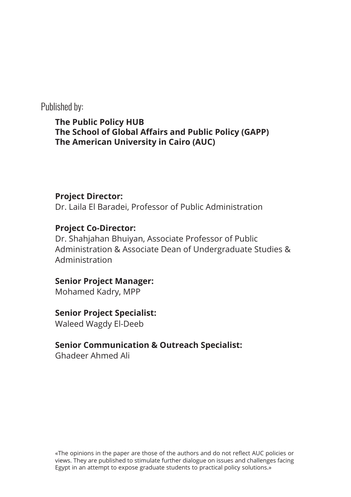Published by:

**The Public Policy HUB The School of Global Affairs and Public Policy (GAPP) The American University in Cairo (AUC)**

### **Project Director:**

Dr. Laila El Baradei, Professor of Public Administration

### **Project Co-Director:**

Dr. Shahjahan Bhuiyan, Associate Professor of Public Administration & Associate Dean of Undergraduate Studies & Administration

### **Senior Project Manager:**

Mohamed Kadry, MPP

### **Senior Project Specialist:**

Waleed Wagdy El-Deeb

### **Senior Communication & Outreach Specialist:**

Ghadeer Ahmed Ali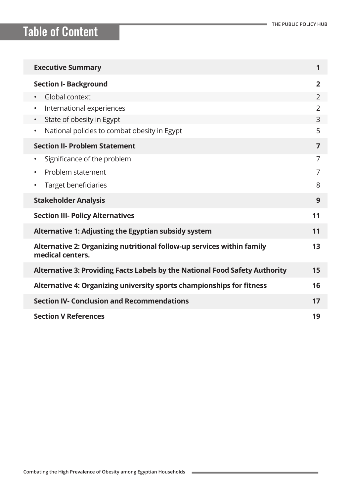| <b>Executive Summary</b>                                                                         | 1              |
|--------------------------------------------------------------------------------------------------|----------------|
| <b>Section I- Background</b>                                                                     | $\overline{2}$ |
| Global context                                                                                   | $\overline{2}$ |
| International experiences                                                                        | $\overline{2}$ |
| State of obesity in Egypt                                                                        | 3              |
| National policies to combat obesity in Egypt<br>$\bullet$                                        | 5              |
| <b>Section II- Problem Statement</b>                                                             | $\overline{7}$ |
| Significance of the problem<br>٠                                                                 | 7              |
| Problem statement                                                                                | 7              |
| <b>Target beneficiaries</b>                                                                      | 8              |
| <b>Stakeholder Analysis</b>                                                                      | 9              |
| <b>Section III- Policy Alternatives</b><br>11                                                    |                |
| Alternative 1: Adjusting the Egyptian subsidy system                                             | 11             |
| Alternative 2: Organizing nutritional follow-up services within family<br>13<br>medical centers. |                |
| Alternative 3: Providing Facts Labels by the National Food Safety Authority                      | 15             |
| Alternative 4: Organizing university sports championships for fitness                            | 16             |
| <b>Section IV- Conclusion and Recommendations</b>                                                | 17             |
| <b>Section V References</b>                                                                      |                |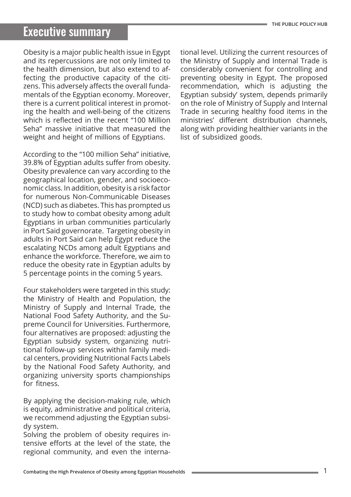### Executive summary

Obesity is a major public health issue in Egypt and its repercussions are not only limited to the health dimension, but also extend to affecting the productive capacity of the citizens. This adversely affects the overall fundamentals of the Egyptian economy. Moreover, there is a current political interest in promoting the health and well-being of the citizens which is reflected in the recent "100 Million Seha" massive initiative that measured the weight and height of millions of Egyptians.

According to the "100 million Seha" initiative, 39.8% of Egyptian adults suffer from obesity. Obesity prevalence can vary according to the geographical location, gender, and socioeconomic class. In addition, obesity is a risk factor for numerous Non-Communicable Diseases (NCD) such as diabetes. This has prompted us to study how to combat obesity among adult Egyptians in urban communities particularly in Port Said governorate. Targeting obesity in adults in Port Said can help Egypt reduce the escalating NCDs among adult Egyptians and enhance the workforce. Therefore, we aim to reduce the obesity rate in Egyptian adults by 5 percentage points in the coming 5 years.

Four stakeholders were targeted in this study: the Ministry of Health and Population, the Ministry of Supply and Internal Trade, the National Food Safety Authority, and the Supreme Council for Universities. Furthermore, four alternatives are proposed: adjusting the Egyptian subsidy system, organizing nutritional follow-up services within family medical centers, providing Nutritional Facts Labels by the National Food Safety Authority, and organizing university sports championships for fitness.

By applying the decision-making rule, which is equity, administrative and political criteria, we recommend adjusting the Egyptian subsidy system.

Solving the problem of obesity requires intensive efforts at the level of the state, the regional community, and even the international level. Utilizing the current resources of the Ministry of Supply and Internal Trade is considerably convenient for controlling and preventing obesity in Egypt. The proposed recommendation, which is adjusting the Egyptian subsidy' system, depends primarily on the role of Ministry of Supply and Internal Trade in securing healthy food items in the ministries' different distribution channels, along with providing healthier variants in the list of subsidized goods.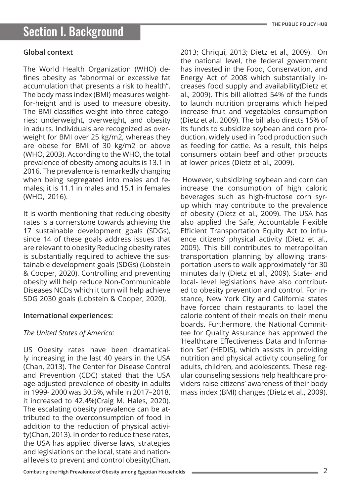#### **Global context**

The World Health Organization (WHO) defines obesity as "abnormal or excessive fat accumulation that presents a risk to health". The body mass index (BMI) measures weightfor-height and is used to measure obesity. The BMI classifies weight into three categories: underweight, overweight, and obesity in adults. Individuals are recognized as overweight for BMI over 25 kg/m2, whereas they are obese for BMI of 30 kg/m2 or above (WHO, 2003). According to the WHO, the total prevalence of obesity among adults is 13.1 in 2016. The prevalence is remarkedly changing when being segregated into males and females; it is 11.1 in males and 15.1 in females (WHO, 2016).

It is worth mentioning that reducing obesity rates is a cornerstone towards achieving the 17 sustainable development goals (SDGs), since 14 of these goals address issues that are relevant to obesity Reducing obesity rates is substantially required to achieve the sustainable development goals (SDGs) (Lobstein & Cooper, 2020). Controlling and preventing obesity will help reduce Non-Communicable Diseases NCDs which it turn will help achieve SDG 2030 goals (Lobstein & Cooper, 2020).

#### **International experiences:**

#### *The United States of America:*

US Obesity rates have been dramatically increasing in the last 40 years in the USA (Chan, 2013). The Center for Disease Control and Prevention (CDC) stated that the USA age-adjusted prevalence of obesity in adults in 1999- 2000 was 30.5%, while in 2017–2018, it increased to 42.4%(Craig M. Hales, 2020). The escalating obesity prevalence can be attributed to the overconsumption of food in addition to the reduction of physical activity(Chan, 2013). In order to reduce these rates, the USA has applied diverse laws, strategies and legislations on the local, state and national levels to prevent and control obesity(Chan,

2013; Chriqui, 2013; Dietz et al., 2009). On the national level, the federal government has invested in the Food, Conservation, and Energy Act of 2008 which substantially increases food supply and availability(Dietz et al., 2009). This bill allotted 54% of the funds to launch nutrition programs which helped increase fruit and vegetables consumption (Dietz et al., 2009). The bill also directs 15% of its funds to subsidize soybean and corn production, widely used in food production such as feeding for cattle. As a result, this helps consumers obtain beef and other products at lower prices (Dietz et al., 2009).

 However, subsidizing soybean and corn can increase the consumption of high caloric beverages such as high-fructose corn syrup which may contribute to the prevalence of obesity (Dietz et al., 2009). The USA has also applied the Safe, Accountable Flexible Efficient Transportation Equity Act to influence citizens' physical activity (Dietz et al., 2009). This bill contributes to metropolitan transportation planning by allowing transportation users to walk approximately for 30 minutes daily (Dietz et al., 2009). State- and local- level legislations have also contributed to obesity prevention and control. For instance, New York City and California states have forced chain restaurants to label the calorie content of their meals on their menu boards. Furthermore, the National Committee for Quality Assurance has approved the 'Healthcare Effectiveness Data and Information Set' (HEDIS), which assists in providing nutrition and physical activity counseling for adults, children, and adolescents. These regular counseling sessions help healthcare providers raise citizens' awareness of their body mass index (BMI) changes (Dietz et al., 2009).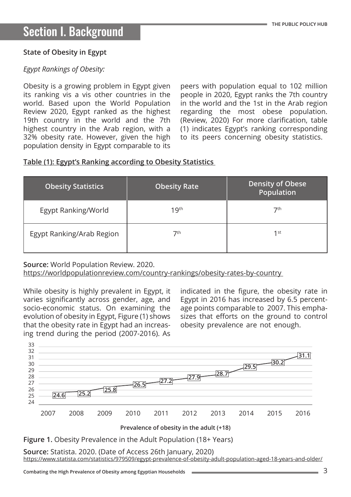#### **State of Obesity in Egypt**

#### *Egypt Rankings of Obesity:*

Obesity is a growing problem in Egypt given its ranking vis a vis other countries in the world. Based upon the World Population Review 2020, Egypt ranked as the highest 19th country in the world and the 7th highest country in the Arab region, with a 32% obesity rate. However, given the high population density in Egypt comparable to its

peers with population equal to 102 million people in 2020, Egypt ranks the 7th country in the world and the 1st in the Arab region regarding the most obese population. (Review, 2020) For more clarification, table (1) indicates Egypt's ranking corresponding to its peers concerning obesity statistics.

#### **Table (1): Egypt's Ranking according to Obesity Statistics**

| <b>Obesity Statistics</b> | <b>Obesity Rate</b> | <b>Density of Obese</b><br>Population |
|---------------------------|---------------------|---------------------------------------|
| Egypt Ranking/World       | 19 <sup>th</sup>    | 7th                                   |
| Egypt Ranking/Arab Region | 7th                 | $1$ st                                |

**Source:** World Population Review. 2020.

[https://worldpopulationreview.com/country-rankings/obesity-rates-by-country](https://worldpopulationreview.com/country-rankings/obesity-rates-by-country  ) 

While obesity is highly prevalent in Egypt, it varies significantly across gender, age, and socio-economic status. On examining the evolution of obesity in Egypt, Figure (1) shows that the obesity rate in Egypt had an increasing trend during the period (2007-2016). As indicated in the figure, the obesity rate in Egypt in 2016 has increased by 6.5 percentage points comparable to 2007. This emphasizes that efforts on the ground to control obesity prevalence are not enough.



**Prevalence of obesity in the adult (+18)**

**Figure 1.** Obesity Prevalence in the Adult Population (18+ Years)

**Source:** Statista. 2020. (Date of Access 26th January, 2020) <https://www.statista.com/statistics/979509/egypt-prevalence-of-obesity-adult-population-aged-18-years-and-older/>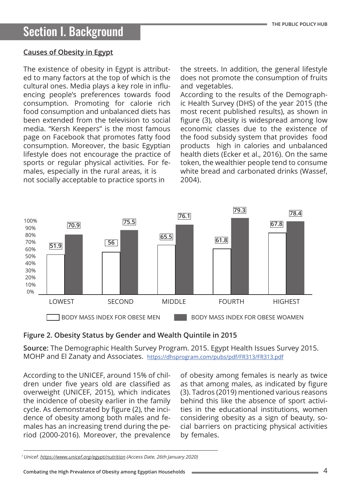#### **Causes of Obesity in Egypt**

The existence of obesity in Egypt is attributed to many factors at the top of which is the cultural ones. Media plays a key role in influencing people's preferences towards food consumption. Promoting for calorie rich food consumption and unbalanced diets has been extended from the television to social media. "Kersh Keepers" is the most famous page on Facebook that promotes fatty food consumption. Moreover, the basic Egyptian lifestyle does not encourage the practice of sports or regular physical activities. For females, especially in the rural areas, it is not socially acceptable to practice sports in

the streets. In addition, the general lifestyle does not promote the consumption of fruits and vegetables.

According to the results of the Demographic Health Survey (DHS) of the year 2015 (the most recent published results), as shown in figure (3), obesity is widespread among low economic classes due to the existence of the food subsidy system that provides food products high in calories and unbalanced health diets (Ecker et al., 2016). On the same token, the wealthier people tend to consume white bread and carbonated drinks (Wassef, 2004).



#### **Figure 2. Obesity Status by Gender and Wealth Quintile in 2015**

**Source:** The Demographic Health Survey Program. 2015. Egypt Health Issues Survey 2015. MOHP and El Zanaty and Associates. <https://dhsprogram.com/pubs/pdf/FR313/FR313.pdf>

According to the UNICEF, around 15% of children under five years old are classified as overweight (UNICEF, 2015), which indicates the incidence of obesity earlier in the family cycle. As demonstrated by figure (2), the incidence of obesity among both males and females has an increasing trend during the period (2000-2016). Moreover, the prevalence of obesity among females is nearly as twice as that among males, as indicated by figure (3). Tadros (2019) mentioned various reasons behind this like the absence of sport activities in the educational institutions, women considering obesity as a sign of beauty, social barriers on practicing physical activities by females.

<sup>1</sup> Unicef. <https://www.unicef.org/egypt/nutrition> (Access Date, 26th January 2020)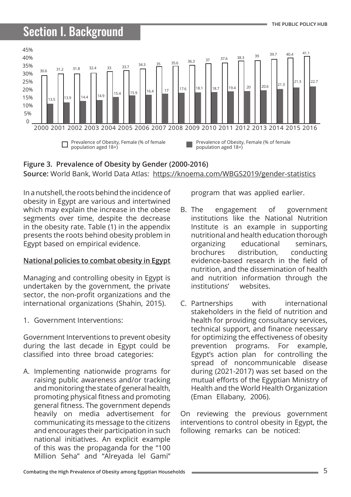# Section I. Background



**Source:** World Bank, World Data Atlas: <https://knoema.com/WBGS2019/gender-statistics> **Figure 3. Prevalence of Obesity by Gender (2000-2016)**

In a nutshell, the roots behind the incidence of obesity in Egypt are various and intertwined which may explain the increase in the obese segments over time, despite the decrease in the obesity rate. Table (1) in the appendix presents the roots behind obesity problem in Egypt based on empirical evidence.

#### **National policies to combat obesity in Egypt**

Managing and controlling obesity in Egypt is undertaken by the government, the private sector, the non-profit organizations and the international organizations (Shahin, 2015).

1. Government Interventions:

Government Interventions to prevent obesity during the last decade in Egypt could be classified into three broad categories:

A. Implementing nationwide programs for raising public awareness and/or tracking and monitoring the state of general health, promoting physical fitness and promoting general fitness. The government depends heavily on media advertisement for communicating its message to the citizens and encourages their participation in such national initiatives. An explicit example of this was the propaganda for the "100 Million Seha" and "Alreyada lel Gami"

program that was applied earlier.

- B. The engagement of government institutions like the National Nutrition Institute is an example in supporting nutritional and health education thorough organizing educational seminars, brochures distribution, conducting evidence-based research in the field of nutrition, and the dissemination of health and nutrition information through the institutions' websites.
- C. Partnerships with international stakeholders in the field of nutrition and health for providing consultancy services, technical support, and finance necessary for optimizing the effectiveness of obesity prevention programs. For example, Egypt's action plan for controlling the spread of noncommunicable disease during (2021-2017) was set based on the mutual efforts of the Egyptian Ministry of Health and the World Health Organization (Eman Ellabany, 2006).

On reviewing the previous government interventions to control obesity in Egypt, the following remarks can be noticed: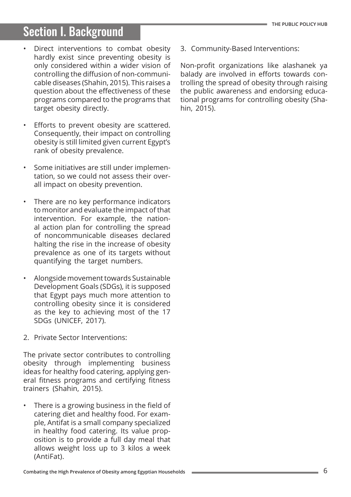# Section I. Background

- Direct interventions to combat obesity hardly exist since preventing obesity is only considered within a wider vision of controlling the diffusion of non-communicable diseases (Shahin, 2015). This raises a question about the effectiveness of these programs compared to the programs that target obesity directly.
- Efforts to prevent obesity are scattered. Consequently, their impact on controlling obesity is still limited given current Egypt's rank of obesity prevalence.
- Some initiatives are still under implementation, so we could not assess their overall impact on obesity prevention.
- There are no key performance indicators to monitor and evaluate the impact of that intervention. For example, the national action plan for controlling the spread of noncommunicable diseases declared halting the rise in the increase of obesity prevalence as one of its targets without quantifying the target numbers.
- Alongside movement towards Sustainable Development Goals (SDGs), it is supposed that Egypt pays much more attention to controlling obesity since it is considered as the key to achieving most of the 17 SDGs (UNICEF, 2017).
- 2. Private Sector Interventions:

The private sector contributes to controlling obesity through implementing business ideas for healthy food catering, applying general fitness programs and certifying fitness trainers (Shahin, 2015).

There is a growing business in the field of catering diet and healthy food. For example, Antifat is a small company specialized in healthy food catering. Its value proposition is to provide a full day meal that allows weight loss up to 3 kilos a week (AntiFat).

3. Community-Based Interventions:

Non-profit organizations like alashanek ya balady are involved in efforts towards controlling the spread of obesity through raising the public awareness and endorsing educational programs for controlling obesity (Shahin, 2015).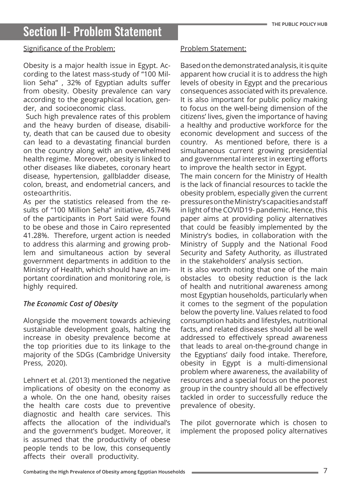#### Significance of the Problem:

Obesity is a major health issue in Egypt. According to the latest mass-study of "100 Million Seha" , 32% of Egyptian adults suffer from obesity. Obesity prevalence can vary according to the geographical location, gender, and socioeconomic class.

 Such high prevalence rates of this problem and the heavy burden of disease, disability, death that can be caused due to obesity can lead to a devastating financial burden on the country along with an overwhelmed health regime. Moreover, obesity is linked to other diseases like diabetes, coronary heart disease, hypertension, gallbladder disease, colon, breast, and endometrial cancers, and osteoarthritis.

As per the statistics released from the results of "100 Million Seha" initiative, 45.74% of the participants in Port Said were found to be obese and those in Cairo represented 41.28%. Therefore, urgent action is needed to address this alarming and growing problem and simultaneous action by several government departments in addition to the Ministry of Health, which should have an important coordination and monitoring role, is highly required.

#### *The Economic Cost of Obesity*

Alongside the movement towards achieving sustainable development goals, halting the increase in obesity prevalence become at the top priorities due to its linkage to the majority of the SDGs (Cambridge University Press, 2020).

Lehnert et al. (2013) mentioned the negative implications of obesity on the economy as a whole. On the one hand, obesity raises the health care costs due to preventive diagnostic and health care services. This affects the allocation of the individual's and the government's budget. Moreover, it is assumed that the productivity of obese people tends to be low, this consequently affects their overall productivity.

#### Problem Statement:

Based on the demonstrated analysis, it is quite apparent how crucial it is to address the high levels of obesity in Egypt and the precarious consequences associated with its prevalence. It is also important for public policy making to focus on the well-being dimension of the citizens' lives, given the importance of having a healthy and productive workforce for the economic development and success of the country. As mentioned before, there is a simultaneous current growing presidential and governmental interest in exerting efforts to improve the health sector in Egypt.

The main concern for the Ministry of Health is the lack of financial resources to tackle the obesity problem, especially given the current pressures on the Ministry's capacities and staff in light of the COVID19- pandemic. Hence, this paper aims at providing policy alternatives that could be feasibly implemented by the Ministry's bodies, in collaboration with the Ministry of Supply and the National Food Security and Safety Authority, as illustrated in the stakeholders' analysis section.

It is also worth noting that one of the main obstacles to obesity reduction is the lack of health and nutritional awareness among most Egyptian households, particularly when it comes to the segment of the population below the poverty line. Values related to food consumption habits and lifestyles, nutritional facts, and related diseases should all be well addressed to effectively spread awareness that leads to areal on-the-ground change in the Egyptians' daily food intake. Therefore, obesity in Egypt is a multi-dimensional problem where awareness, the availability of resources and a special focus on the poorest group in the country should all be effectively tackled in order to successfully reduce the prevalence of obesity.

The pilot governorate which is chosen to implement the proposed policy alternatives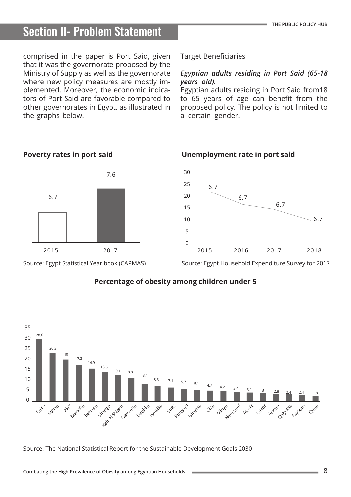comprised in the paper is Port Said, given that it was the governorate proposed by the Ministry of Supply as well as the governorate where new policy measures are mostly implemented. Moreover, the economic indicators of Port Said are favorable compared to other governorates in Egypt, as illustrated in the graphs below.

#### Target Beneficiaries

6.7

#### *Egyptian adults residing in Port Said (65-18 years old).*

Egyptian adults residing in Port Said from18 to 65 years of age can benefit from the proposed policy. The policy is not limited to a certain gender.

**Unemployment rate in port said** 

6.7



#### **Poverty rates in port said**

Source: Egypt Household Expenditure Survey for 2017

6.7

 $-6.7$ 



#### **Percentage of obesity among children under 5**

30 25

20

15 10 5

 $\overline{0}$ 

Source: The National Statistical Report for the Sustainable Development Goals 2030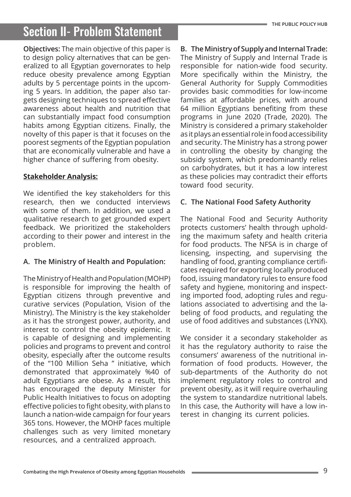**Objectives:** The main objective of this paper is to design policy alternatives that can be generalized to all Egyptian governorates to help reduce obesity prevalence among Egyptian adults by 5 percentage points in the upcoming 5 years. In addition, the paper also targets designing techniques to spread effective awareness about health and nutrition that can substantially impact food consumption habits among Egyptian citizens. Finally, the novelty of this paper is that it focuses on the poorest segments of the Egyptian population that are economically vulnerable and have a higher chance of suffering from obesity.

### **Stakeholder Analysis:**

We identified the key stakeholders for this research, then we conducted interviews with some of them. In addition, we used a qualitative research to get grounded expert feedback. We prioritized the stakeholders according to their power and interest in the problem.

### **A. The Ministry of Health and Population:**

The Ministry of Health and Population (MOHP) is responsible for improving the health of Egyptian citizens through preventive and curative services (Population, Vision of the Ministry). The Ministry is the key stakeholder as it has the strongest power, authority, and interest to control the obesity epidemic. It is capable of designing and implementing policies and programs to prevent and control obesity, especially after the outcome results of the "100 Million Seha " initiative, which demonstrated that approximately %40 of adult Egyptians are obese. As a result, this has encouraged the deputy Minister for Public Health Initiatives to focus on adopting effective policies to fight obesity, with plans to launch a nation-wide campaign for four years 365 tons. However, the MOHP faces multiple challenges such as very limited monetary resources, and a centralized approach.

**B. The Ministry of Supply and Internal Trade:** The Ministry of Supply and Internal Trade is responsible for nation-wide food security. More specifically within the Ministry, the General Authority for Supply Commodities provides basic commodities for low-income families at affordable prices, with around 64 million Egyptians benefiting from these programs in June 2020 (Trade, 2020). The Ministry is considered a primary stakeholder as it plays an essential role in food accessibility and security. The Ministry has a strong power in controlling the obesity by changing the subsidy system, which predominantly relies on carbohydrates, but it has a low interest as these policies may contradict their efforts toward food security.

### **C. The National Food Safety Authority**

The National Food and Security Authority protects customers' health through upholding the maximum safety and health criteria for food products. The NFSA is in charge of licensing, inspecting, and supervising the handling of food, granting compliance certificates required for exporting locally produced food, issuing mandatory rules to ensure food safety and hygiene, monitoring and inspecting imported food, adopting rules and regulations associated to advertising and the labeling of food products, and regulating the use of food additives and substances (LYNX).

We consider it a secondary stakeholder as it has the regulatory authority to raise the consumers' awareness of the nutritional information of food products. However, the sub-departments of the Authority do not implement regulatory roles to control and prevent obesity, as it will require overhauling the system to standardize nutritional labels. In this case, the Authority will have a low interest in changing its current policies.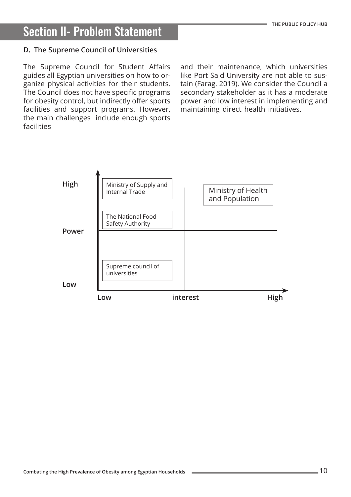#### **D. The Supreme Council of Universities**

The Supreme Council for Student Affairs guides all Egyptian universities on how to organize physical activities for their students. The Council does not have specific programs for obesity control, but indirectly offer sports facilities and support programs. However, the main challenges include enough sports facilities

and their maintenance, which universities like Port Said University are not able to sustain (Farag, 2019). We consider the Council a secondary stakeholder as it has a moderate power and low interest in implementing and maintaining direct health initiatives.

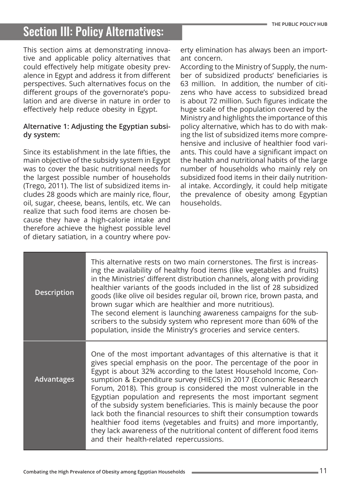This section aims at demonstrating innovative and applicable policy alternatives that could effectively help mitigate obesity prevalence in Egypt and address it from different perspectives. Such alternatives focus on the different groups of the governorate's population and are diverse in nature in order to effectively help reduce obesity in Egypt.

#### **Alternative 1: Adjusting the Egyptian subsidy system:**

Since its establishment in the late fifties, the main objective of the subsidy system in Egypt was to cover the basic nutritional needs for the largest possible number of households (Trego, 2011). The list of subsidized items includes 28 goods which are mainly rice, flour, oil, sugar, cheese, beans, lentils, etc. We can realize that such food items are chosen because they have a high-calorie intake and therefore achieve the highest possible level of dietary satiation, in a country where pov-

erty elimination has always been an important concern.

According to the Ministry of Supply, the number of subsidized products' beneficiaries is 63 million. In addition, the number of citizens who have access to subsidized bread is about 72 million. Such figures indicate the huge scale of the population covered by the Ministry and highlights the importance of this policy alternative, which has to do with making the list of subsidized items more comprehensive and inclusive of healthier food variants. This could have a significant impact on the health and nutritional habits of the large number of households who mainly rely on subsidized food items in their daily nutritional intake. Accordingly, it could help mitigate the prevalence of obesity among Egyptian households.

| <b>Description</b> | This alternative rests on two main cornerstones. The first is increas-<br>ing the availability of healthy food items (like vegetables and fruits)<br>in the Ministries' different distribution channels, along with providing<br>healthier variants of the goods included in the list of 28 subsidized<br>goods (like olive oil besides regular oil, brown rice, brown pasta, and<br>brown sugar which are healthier and more nutritious).<br>The second element is launching awareness campaigns for the sub-<br>scribers to the subsidy system who represent more than 60% of the<br>population, inside the Ministry's groceries and service centers.                                                                                                            |
|--------------------|--------------------------------------------------------------------------------------------------------------------------------------------------------------------------------------------------------------------------------------------------------------------------------------------------------------------------------------------------------------------------------------------------------------------------------------------------------------------------------------------------------------------------------------------------------------------------------------------------------------------------------------------------------------------------------------------------------------------------------------------------------------------|
| <b>Advantages</b>  | One of the most important advantages of this alternative is that it<br>gives special emphasis on the poor. The percentage of the poor in<br>Egypt is about 32% according to the latest Household Income, Con-<br>sumption & Expenditure survey (HIECS) in 2017 (Economic Research<br>Forum, 2018). This group is considered the most vulnerable in the<br>Egyptian population and represents the most important segment<br>of the subsidy system beneficiaries. This is mainly because the poor<br>lack both the financial resources to shift their consumption towards<br>healthier food items (vegetables and fruits) and more importantly,<br>they lack awareness of the nutritional content of different food items<br>and their health-related repercussions. |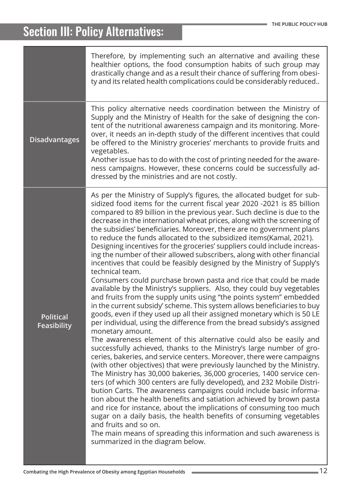|                                        | Therefore, by implementing such an alternative and availing these<br>healthier options, the food consumption habits of such group may<br>drastically change and as a result their chance of suffering from obesi-<br>ty and its related health complications could be considerably reduced                                                                                                                                                                                                                                                                                                                                                                                                                                                                                                                                                                                                                                                                                                                                                                                                                                                                                                                                                                                                                                                                                                                                                                                                                                                                                                                                                                                                                                                                                                                                                                                                                                                                                                                                                                              |
|----------------------------------------|-------------------------------------------------------------------------------------------------------------------------------------------------------------------------------------------------------------------------------------------------------------------------------------------------------------------------------------------------------------------------------------------------------------------------------------------------------------------------------------------------------------------------------------------------------------------------------------------------------------------------------------------------------------------------------------------------------------------------------------------------------------------------------------------------------------------------------------------------------------------------------------------------------------------------------------------------------------------------------------------------------------------------------------------------------------------------------------------------------------------------------------------------------------------------------------------------------------------------------------------------------------------------------------------------------------------------------------------------------------------------------------------------------------------------------------------------------------------------------------------------------------------------------------------------------------------------------------------------------------------------------------------------------------------------------------------------------------------------------------------------------------------------------------------------------------------------------------------------------------------------------------------------------------------------------------------------------------------------------------------------------------------------------------------------------------------------|
| <b>Disadvantages</b>                   | This policy alternative needs coordination between the Ministry of<br>Supply and the Ministry of Health for the sake of designing the con-<br>tent of the nutritional awareness campaign and its monitoring. More-<br>over, it needs an in-depth study of the different incentives that could<br>be offered to the Ministry groceries' merchants to provide fruits and<br>vegetables.<br>Another issue has to do with the cost of printing needed for the aware-<br>ness campaigns. However, these concerns could be successfully ad-<br>dressed by the ministries and are not costly.                                                                                                                                                                                                                                                                                                                                                                                                                                                                                                                                                                                                                                                                                                                                                                                                                                                                                                                                                                                                                                                                                                                                                                                                                                                                                                                                                                                                                                                                                  |
| <b>Political</b><br><b>Feasibility</b> | As per the Ministry of Supply's figures, the allocated budget for sub-<br>sidized food items for the current fiscal year 2020 -2021 is 85 billion<br>compared to 89 billion in the previous year. Such decline is due to the<br>decrease in the international wheat prices, along with the screening of<br>the subsidies' beneficiaries. Moreover, there are no government plans<br>to reduce the funds allocated to the subsidized items(Kamal, 2021).<br>Designing incentives for the groceries' suppliers could include increas-<br>ing the number of their allowed subscribers, along with other financial<br>incentives that could be feasibly designed by the Ministry of Supply's<br>technical team.<br>Consumers could purchase brown pasta and rice that could be made<br>available by the Ministry's suppliers. Also, they could buy vegetables<br>and fruits from the supply units using "the points system" embedded<br>in the current subsidy' scheme. This system allows beneficiaries to buy<br>goods, even if they used up all their assigned monetary which is 50 LE<br>per individual, using the difference from the bread subsidy's assigned<br>monetary amount.<br>The awareness element of this alternative could also be easily and<br>successfully achieved, thanks to the Ministry's large number of gro-<br>ceries, bakeries, and service centers. Moreover, there were campaigns<br>(with other objectives) that were previously launched by the Ministry.<br>The Ministry has 30,000 bakeries, 36,000 groceries, 1400 service cen-<br>ters (of which 300 centers are fully developed), and 232 Mobile Distri-<br>bution Carts. The awareness campaigns could include basic informa-<br>tion about the health benefits and satiation achieved by brown pasta<br>and rice for instance, about the implications of consuming too much<br>sugar on a daily basis, the health benefits of consuming vegetables<br>and fruits and so on.<br>The main means of spreading this information and such awareness is<br>summarized in the diagram below. |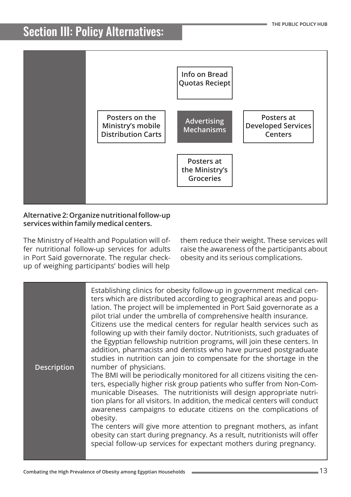

#### **Alternative 2: Organize nutritional follow-up services within family medical centers.**

The Ministry of Health and Population will offer nutritional follow-up services for adults in Port Said governorate. The regular checkup of weighing participants' bodies will help

them reduce their weight. These services will raise the awareness of the participants about obesity and its serious complications.

| <b>Description</b> | Establishing clinics for obesity follow-up in government medical cen-<br>ters which are distributed according to geographical areas and popu-<br>lation. The project will be implemented in Port Said governorate as a<br>pilot trial under the umbrella of comprehensive health insurance.<br>Citizens use the medical centers for regular health services such as<br>following up with their family doctor. Nutritionists, such graduates of<br>the Egyptian fellowship nutrition programs, will join these centers. In<br>addition, pharmacists and dentists who have pursued postgraduate<br>studies in nutrition can join to compensate for the shortage in the<br>number of physicians. |
|--------------------|-----------------------------------------------------------------------------------------------------------------------------------------------------------------------------------------------------------------------------------------------------------------------------------------------------------------------------------------------------------------------------------------------------------------------------------------------------------------------------------------------------------------------------------------------------------------------------------------------------------------------------------------------------------------------------------------------|
|                    | The BMI will be periodically monitored for all citizens visiting the cen-<br>ters, especially higher risk group patients who suffer from Non-Com-<br>municable Diseases. The nutritionists will design appropriate nutri-<br>tion plans for all visitors. In addition, the medical centers will conduct<br>awareness campaigns to educate citizens on the complications of<br>obesity.<br>The centers will give more attention to pregnant mothers, as infant<br>obesity can start during pregnancy. As a result, nutritionists will offer<br>special follow-up services for expectant mothers during pregnancy.                                                                              |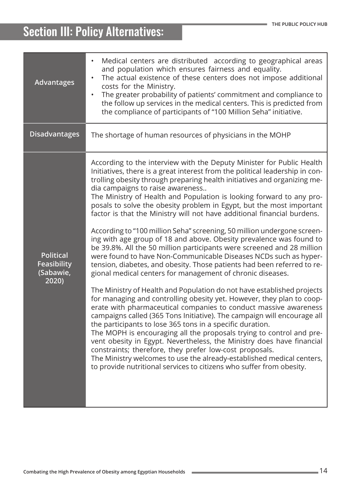| <b>Advantages</b>                                            | Medical centers are distributed according to geographical areas<br>$\bullet$<br>and population which ensures fairness and equality.<br>The actual existence of these centers does not impose additional<br>costs for the Ministry.<br>The greater probability of patients' commitment and compliance to<br>the follow up services in the medical centers. This is predicted from<br>the compliance of participants of "100 Million Seha" initiative.                                                                                                                                                                                                                                                                                                                                                                                                                                                                                                                                                                                                                                                                                                                                                                                                                                                                                                                                                                                                                                                                                                                                                                                                                  |
|--------------------------------------------------------------|-----------------------------------------------------------------------------------------------------------------------------------------------------------------------------------------------------------------------------------------------------------------------------------------------------------------------------------------------------------------------------------------------------------------------------------------------------------------------------------------------------------------------------------------------------------------------------------------------------------------------------------------------------------------------------------------------------------------------------------------------------------------------------------------------------------------------------------------------------------------------------------------------------------------------------------------------------------------------------------------------------------------------------------------------------------------------------------------------------------------------------------------------------------------------------------------------------------------------------------------------------------------------------------------------------------------------------------------------------------------------------------------------------------------------------------------------------------------------------------------------------------------------------------------------------------------------------------------------------------------------------------------------------------------------|
| <b>Disadvantages</b>                                         | The shortage of human resources of physicians in the MOHP                                                                                                                                                                                                                                                                                                                                                                                                                                                                                                                                                                                                                                                                                                                                                                                                                                                                                                                                                                                                                                                                                                                                                                                                                                                                                                                                                                                                                                                                                                                                                                                                             |
| <b>Political</b><br><b>Feasibility</b><br>(Sabawie,<br>2020) | According to the interview with the Deputy Minister for Public Health<br>Initiatives, there is a great interest from the political leadership in con-<br>trolling obesity through preparing health initiatives and organizing me-<br>dia campaigns to raise awareness<br>The Ministry of Health and Population is looking forward to any pro-<br>posals to solve the obesity problem in Egypt, but the most important<br>factor is that the Ministry will not have additional financial burdens.<br>According to "100 million Seha" screening, 50 million undergone screen-<br>ing with age group of 18 and above. Obesity prevalence was found to<br>be 39.8%. All the 50 million participants were screened and 28 million<br>were found to have Non-Communicable Diseases NCDs such as hyper-<br>tension, diabetes, and obesity. Those patients had been referred to re-<br>gional medical centers for management of chronic diseases.<br>The Ministry of Health and Population do not have established projects<br>for managing and controlling obesity yet. However, they plan to coop-<br>erate with pharmaceutical companies to conduct massive awareness<br>campaigns called (365 Tons Initiative). The campaign will encourage all<br>the participants to lose 365 tons in a specific duration.<br>The MOPH is encouraging all the proposals trying to control and pre-<br>vent obesity in Egypt. Nevertheless, the Ministry does have financial<br>constraints; therefore, they prefer low-cost proposals.<br>The Ministry welcomes to use the already-established medical centers,<br>to provide nutritional services to citizens who suffer from obesity. |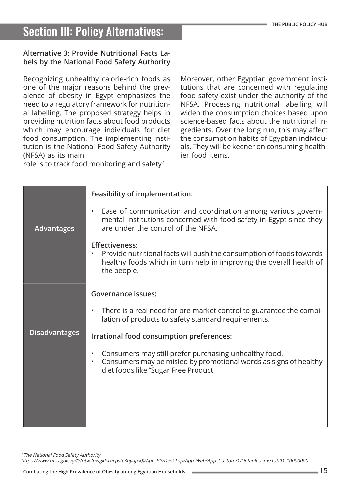#### **Alternative 3: Provide Nutritional Facts Labels by the National Food Safety Authority**

Recognizing unhealthy calorie-rich foods as one of the major reasons behind the prevalence of obesity in Egypt emphasizes the need to a regulatory framework for nutritional labelling. The proposed strategy helps in providing nutrition facts about food products which may encourage individuals for diet food consumption. The implementing institution is the National Food Safety Authority (NFSA) as its main

role is to track food monitoring and safety<sup>2</sup>.

Moreover, other Egyptian government institutions that are concerned with regulating food safety exist under the authority of the NFSA. Processing nutritional labelling will widen the consumption choices based upon science-based facts about the nutritional ingredients. Over the long run, this may affect the consumption habits of Egyptian individuals. They will be keener on consuming healthier food items.

|                      | <b>Feasibility of implementation:</b>                                                                                                                                               |
|----------------------|-------------------------------------------------------------------------------------------------------------------------------------------------------------------------------------|
| <b>Advantages</b>    | Ease of communication and coordination among various govern-<br>mental institutions concerned with food safety in Egypt since they<br>are under the control of the NFSA.            |
|                      | <b>Effectiveness:</b><br>Provide nutritional facts will push the consumption of foods towards<br>healthy foods which in turn help in improving the overall health of<br>the people. |
|                      | <b>Governance issues:</b>                                                                                                                                                           |
| <b>Disadvantages</b> | There is a real need for pre-market control to guarantee the compi-<br>lation of products to safety standard requirements.                                                          |
|                      | Irrational food consumption preferences:                                                                                                                                            |
|                      | Consumers may still prefer purchasing unhealthy food.<br>Consumers may be misled by promotional words as signs of healthy<br>$\bullet$<br>diet foods like "Sugar Free Product       |
|                      |                                                                                                                                                                                     |
|                      |                                                                                                                                                                                     |
|                      |                                                                                                                                                                                     |

<sup>2</sup> The National Food Safety Authority

https://www.nfsa.gov.eg/(S(otw2pwgkkxkicpstc3[nyujxx\)\)/App\\_PP/DeskTop/App\\_Web/App\\_Custom/](https://www.nfsa.gov.eg/(S(otw2pwgkkxkicpstc3nyujxx))/App_PP/DeskTop/App_Web/App_Custom/1/Default.aspx?TabID=10000000)1/Default.aspx?TabID=10000000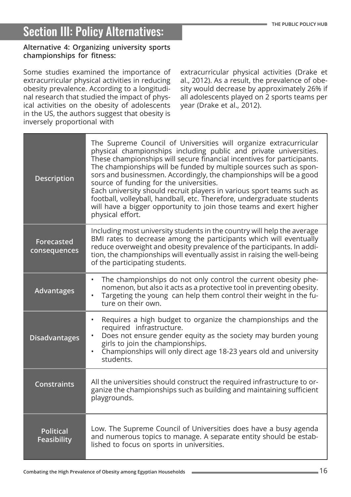#### **Alternative 4: Organizing university sports championships for fitness:**

Some studies examined the importance of extracurricular physical activities in reducing obesity prevalence. According to a longitudinal research that studied the impact of physical activities on the obesity of adolescents in the US, the authors suggest that obesity is inversely proportional with

extracurricular physical activities (Drake et al., 2012). As a result, the prevalence of obesity would decrease by approximately 26% if all adolescents played on 2 sports teams per year (Drake et al., 2012).

| <b>Description</b>                     | The Supreme Council of Universities will organize extracurricular<br>physical championships including public and private universities.<br>These championships will secure financial incentives for participants.<br>The championships will be funded by multiple sources such as spon-<br>sors and businessmen. Accordingly, the championships will be a good<br>source of funding for the universities.<br>Each university should recruit players in various sport teams such as<br>football, volleyball, handball, etc. Therefore, undergraduate students<br>will have a bigger opportunity to join those teams and exert higher<br>physical effort. |
|----------------------------------------|--------------------------------------------------------------------------------------------------------------------------------------------------------------------------------------------------------------------------------------------------------------------------------------------------------------------------------------------------------------------------------------------------------------------------------------------------------------------------------------------------------------------------------------------------------------------------------------------------------------------------------------------------------|
| <b>Forecasted</b><br>consequences      | Including most university students in the country will help the average<br>BMI rates to decrease among the participants which will eventually<br>reduce overweight and obesity prevalence of the participants. In addi-<br>tion, the championships will eventually assist in raising the well-being<br>of the participating students.                                                                                                                                                                                                                                                                                                                  |
| <b>Advantages</b>                      | The championships do not only control the current obesity phe-<br>$\bullet$<br>nomenon, but also it acts as a protective tool in preventing obesity.<br>Targeting the young can help them control their weight in the fu-<br>$\bullet$<br>ture on their own.                                                                                                                                                                                                                                                                                                                                                                                           |
| <b>Disadvantages</b>                   | Requires a high budget to organize the championships and the<br>$\bullet$<br>required infrastructure.<br>Does not ensure gender equity as the society may burden young<br>girls to join the championships.<br>Championships will only direct age 18-23 years old and university<br>$\bullet$<br>students.                                                                                                                                                                                                                                                                                                                                              |
| <b>Constraints</b>                     | All the universities should construct the required infrastructure to or-<br>ganize the championships such as building and maintaining sufficient<br>playgrounds.                                                                                                                                                                                                                                                                                                                                                                                                                                                                                       |
| <b>Political</b><br><b>Feasibility</b> | Low. The Supreme Council of Universities does have a busy agenda<br>and numerous topics to manage. A separate entity should be estab-<br>lished to focus on sports in universities.                                                                                                                                                                                                                                                                                                                                                                                                                                                                    |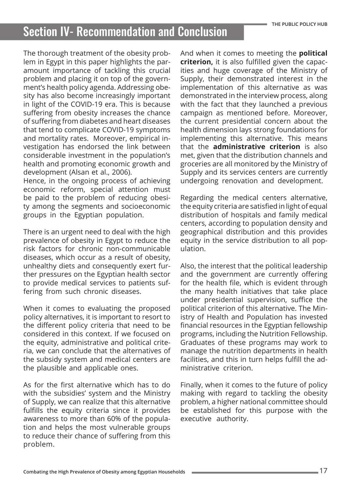# Section IV- Recommendation and Conclusion

The thorough treatment of the obesity problem in Egypt in this paper highlights the paramount importance of tackling this crucial problem and placing it on top of the government's health policy agenda. Addressing obesity has also become increasingly important in light of the COVID-19 era. This is because suffering from obesity increases the chance of suffering from diabetes and heart diseases that tend to complicate COVID-19 symptoms and mortality rates. Moreover, empirical investigation has endorsed the link between considerable investment in the population's health and promoting economic growth and development (Alsan et al., 2006).

Hence, in the ongoing process of achieving economic reform, special attention must be paid to the problem of reducing obesity among the segments and socioeconomic groups in the Egyptian population.

There is an urgent need to deal with the high prevalence of obesity in Egypt to reduce the risk factors for chronic non-communicable diseases, which occur as a result of obesity, unhealthy diets and consequently exert further pressures on the Egyptian health sector to provide medical services to patients suffering from such chronic diseases.

When it comes to evaluating the proposed policy alternatives, it is important to resort to the different policy criteria that need to be considered in this context. If we focused on the equity, administrative and political criteria, we can conclude that the alternatives of the subsidy system and medical centers are the plausible and applicable ones.

As for the first alternative which has to do with the subsidies' system and the Ministry of Supply, we can realize that this alternative fulfills the equity criteria since it provides awareness to more than 60% of the population and helps the most vulnerable groups to reduce their chance of suffering from this problem.

And when it comes to meeting the **political criterion,** it is also fulfilled given the capacities and huge coverage of the Ministry of Supply, their demonstrated interest in the implementation of this alternative as was demonstrated in the interview process, along with the fact that they launched a previous campaign as mentioned before. Moreover, the current presidential concern about the health dimension lays strong foundations for implementing this alternative. This means that the **administrative criterion** is also met, given that the distribution channels and groceries are all monitored by the Ministry of Supply and its services centers are currently undergoing renovation and development.

Regarding the medical centers alternative, the equity criteria are satisfied in light of equal distribution of hospitals and family medical centers, according to population density and geographical distribution and this provides equity in the service distribution to all population.

Also, the interest that the political leadership and the government are currently offering for the health file, which is evident through the many health initiatives that take place under presidential supervision, suffice the political criterion of this alternative. The Ministry of Health and Population has invested financial resources in the Egyptian fellowship programs, including the Nutrition Fellowship. Graduates of these programs may work to manage the nutrition departments in health facilities, and this in turn helps fulfill the administrative criterion.

Finally, when it comes to the future of policy making with regard to tackling the obesity problem, a higher national committee should be established for this purpose with the executive authority.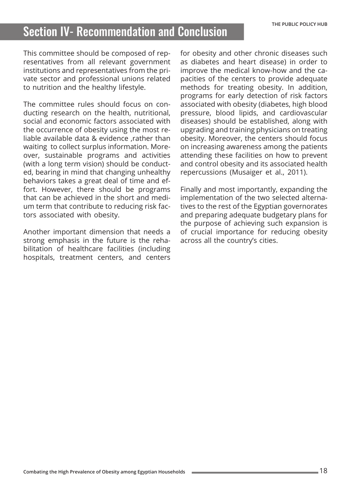### Section IV- Recommendation and Conclusion

This committee should be composed of representatives from all relevant government institutions and representatives from the private sector and professional unions related to nutrition and the healthy lifestyle.

The committee rules should focus on conducting research on the health, nutritional, social and economic factors associated with the occurrence of obesity using the most reliable available data & evidence ,rather than waiting to collect surplus information. Moreover, sustainable programs and activities (with a long term vision) should be conducted, bearing in mind that changing unhealthy behaviors takes a great deal of time and effort. However, there should be programs that can be achieved in the short and medium term that contribute to reducing risk factors associated with obesity.

Another important dimension that needs a strong emphasis in the future is the rehabilitation of healthcare facilities (including hospitals, treatment centers, and centers for obesity and other chronic diseases such as diabetes and heart disease) in order to improve the medical know-how and the capacities of the centers to provide adequate methods for treating obesity. In addition, programs for early detection of risk factors associated with obesity (diabetes, high blood pressure, blood lipids, and cardiovascular diseases) should be established, along with upgrading and training physicians on treating obesity. Moreover, the centers should focus on increasing awareness among the patients attending these facilities on how to prevent and control obesity and its associated health repercussions (Musaiger et al., 2011).

Finally and most importantly, expanding the implementation of the two selected alternatives to the rest of the Egyptian governorates and preparing adequate budgetary plans for the purpose of achieving such expansion is of crucial importance for reducing obesity across all the country's cities.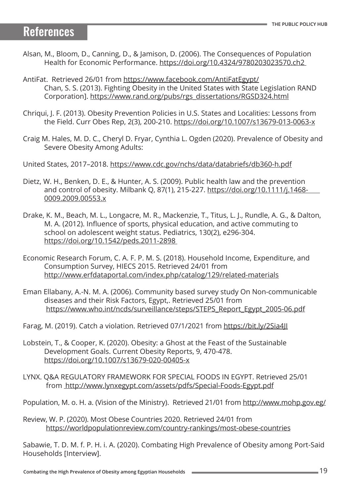### References

- Alsan, M., Bloom, D., Canning, D., & Jamison, D. (2006). The Consequences of Population Health for Economic Performance. [https://doi.org/10.4324/9780203023570.ch2](https://doi.org/10.4324/9780203023570.ch2 )
- AntiFat. Retrieved 26/01 from [https://www.facebook.com/AntiFatEgypt/](https://www.facebook.com/AntiFatEgypt/ ) Chan, S. S. (2013). Fighting Obesity in the United States with State Legislation RAND Corporation]. [https://www.rand.org/pubs/rgs\\_dissertations/RGSD324.html](https://www.rand.org/pubs/rgs_dissertations/RGSD324.html)
- Chriqui, J. F. (2013). Obesity Prevention Policies in U.S. States and Localities: Lessons from the Field. Curr Obes Rep, 2(3), 200-210.<https://doi.org/10.1007/s13679-013-0063-x>
- Craig M. Hales, M. D. C., Cheryl D. Fryar, Cynthia L. Ogden (2020). Prevalence of Obesity and Severe Obesity Among Adults:

United States, 2017–2018.<https://www.cdc.gov/nchs/data/databriefs/db360-h.pdf>

- Dietz, W. H., Benken, D. E., & Hunter, A. S. (2009). Public health law and the prevention and control of obesity. Milbank Q, 87(1), 215-227. [https://doi.org/10.1111/j.1468-](https://doi.org/10.1111/j.1468-   0009.2009.00553.x) [0009.2009.00553.x](https://doi.org/10.1111/j.1468-   0009.2009.00553.x)
- Drake, K. M., Beach, M. L., Longacre, M. R., Mackenzie, T., Titus, L. J., Rundle, A. G., & Dalton, M. A. (2012). Influence of sports, physical education, and active commuting to school on adolescent weight status. Pediatrics, 130(2), e296-304. [https://doi.org/10.1542/peds.2011-2898](https://doi.org/10.1542/peds.2011-2898  )
- Economic Research Forum, C. A. F. P. M. S. (2018). Household Income, Expenditure, and Consumption Survey, HIECS 2015. Retrieved 24/01 from <http://www.erfdataportal.com/index.php/catalog/129/related-materials>
- Eman Ellabany, A.-N. M. A. (2006). Community based survey study On Non-communicable diseases and their Risk Factors, Egypt,. Retrieved 25/01 from [https://www.who.int/ncds/surveillance/steps/STEPS\\_Report\\_Egypt\\_2005-06.pdf](https://www.who.int/ncds/surveillance/steps/STEPS_Report_Egypt_2005-06.pdf)

Farag, M. (2019). Catch a violation. Retrieved 07/1/2021 from<https://bit.ly/2Sia4JI>

- Lobstein, T., & Cooper, K. (2020). Obesity: a Ghost at the Feast of the Sustainable Development Goals. Current Obesity Reports, 9, 470-478. <https://doi.org/10.1007/s13679-020-00405-x>
- LYNX. Q&A REGULATORY FRAMEWORK FOR SPECIAL FOODS IN EGYPT. Retrieved 25/01 from [http://www.lynxegypt.com/assets/pdfs/Special-Foods-Egypt.pdf]( http://www.lynxegypt.com/assets/pdfs/Special-Foods-Egypt.pdf)

Population, M. o. H. a. (Vision of the Ministry). Retrieved 21/01 from [http://www.mohp.gov.eg/](http://www.mohp.gov.eg/ )

Review, W. P. (2020). Most Obese Countries 2020. Retrieved 24/01 from <https://worldpopulationreview.com/country-rankings/most-obese-countries>

Sabawie, T. D. M. f. P. H. i. A. (2020). Combating High Prevalence of Obesity among Port-Said Households [Interview].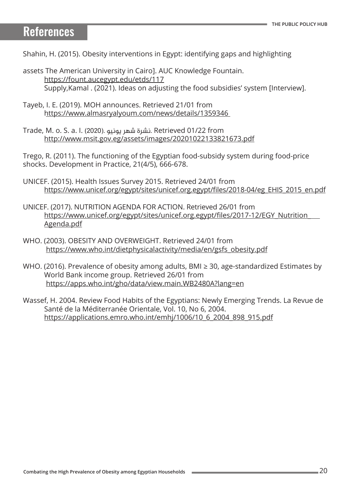### References

Shahin, H. (2015). Obesity interventions in Egypt: identifying gaps and highlighting

- assets The American University in Cairo]. AUC Knowledge Fountain. <https://fount.aucegypt.edu/etds/117> Supply,Kamal . (2021). Ideas on adjusting the food subsidies' system [Interview].
- Tayeb, I. E. (2019). MOH announces. Retrieved 21/01 from <https://www.almasryalyoum.com/news/details/1359346>
- Trade, M. o. S. a. I. (2020). يونيو شهر نشرة. Retrieved 01/22 from [http://www.msit.gov.eg/assets/images/](http://www.msit.gov.eg/assets/images/20201022133821673.pdf )20201022133821673.pdf

Trego, R. (2011). The functioning of the Egyptian food-subsidy system during food-price shocks. Development in Practice, 21(4/5), 666-678.

- UNICEF. (2015). Health Issues Survey 2015. Retrieved 24/01 from [https://www.unicef.org/egypt/sites/unicef.org.egypt/files/2018-04/eg\\_EHIS\\_2015\\_en.pdf](https://www.unicef.org/egypt/sites/unicef.org.egypt/files/2018-04/eg_EHIS_2015_en.pdf)
- UNICEF. (2017). NUTRITION AGENDA FOR ACTION. Retrieved 26/01 from [https://www.unicef.org/egypt/sites/unicef.org.egypt/files/2017-12/EGY\\_Nutrition\\_]( https://www.unicef.org/egypt/sites/unicef.org.egypt/files/2017-12/EGY_Nutrition_   Agenda.pdf) [Agenda.pdf]( https://www.unicef.org/egypt/sites/unicef.org.egypt/files/2017-12/EGY_Nutrition_   Agenda.pdf)
- WHO. (2003). OBESITY AND OVERWEIGHT. Retrieved 24/01 from [https://www.who.int/dietphysicalactivity/media/en/gsfs\\_obesity.pdf](https://www.who.int/dietphysicalactivity/media/en/gsfs_obesity.pdf)
- WHO. (2016). Prevalence of obesity among adults, BMI ≥ 30, age-standardized Estimates by World Bank income group. Retrieved 26/01 from <https://apps.who.int/gho/data/view.main.WB2480A?lang=en>
- Wassef, H. 2004. Review Food Habits of the Egyptians: Newly Emerging Trends. La Revue de Santé de la Méditerranée Orientale, Vol. 10, No 6, 2004. [https://applications.emro.who.int/emhj/1006/10\\_6\\_2004\\_898\\_915.pdf](https://applications.emro.who.int/emhj/1006/10_6_2004_898_915.pdf)